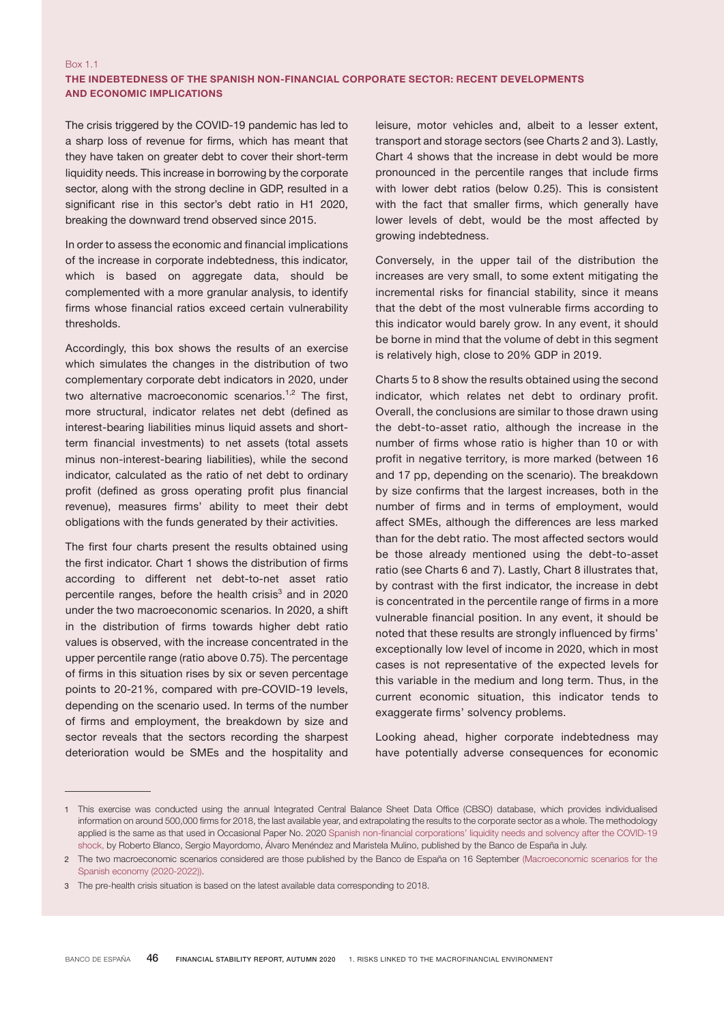## Box 1.1 THE INDEBTEDNESS OF THE SPANISH NON-FINANCIAL CORPORATE SECTOR: RECENT DEVELOPMENTS AND ECONOMIC IMPLICATIONS

The crisis triggered by the COVID-19 pandemic has led to a sharp loss of revenue for firms, which has meant that they have taken on greater debt to cover their short-term liquidity needs. This increase in borrowing by the corporate sector, along with the strong decline in GDP, resulted in a significant rise in this sector's debt ratio in H1 2020, breaking the downward trend observed since 2015.

In order to assess the economic and financial implications of the increase in corporate indebtedness, this indicator, which is based on aggregate data, should be complemented with a more granular analysis, to identify firms whose financial ratios exceed certain vulnerability thresholds.

Accordingly, this box shows the results of an exercise which simulates the changes in the distribution of two complementary corporate debt indicators in 2020, under two alternative macroeconomic scenarios.<sup>1,2</sup> The first, more structural, indicator relates net debt (defined as interest-bearing liabilities minus liquid assets and shortterm financial investments) to net assets (total assets minus non-interest-bearing liabilities), while the second indicator, calculated as the ratio of net debt to ordinary profit (defined as gross operating profit plus financial revenue), measures firms' ability to meet their debt obligations with the funds generated by their activities.

The first four charts present the results obtained using the first indicator. Chart 1 shows the distribution of firms according to different net debt-to-net asset ratio percentile ranges, before the health crisis<sup>3</sup> and in 2020 under the two macroeconomic scenarios. In 2020, a shift in the distribution of firms towards higher debt ratio values is observed, with the increase concentrated in the upper percentile range (ratio above 0.75). The percentage of firms in this situation rises by six or seven percentage points to 20-21%, compared with pre-COVID-19 levels, depending on the scenario used. In terms of the number of firms and employment, the breakdown by size and sector reveals that the sectors recording the sharpest deterioration would be SMEs and the hospitality and

leisure, motor vehicles and, albeit to a lesser extent, transport and storage sectors (see Charts 2 and 3). Lastly, Chart 4 shows that the increase in debt would be more pronounced in the percentile ranges that include firms with lower debt ratios (below 0.25). This is consistent with the fact that smaller firms, which generally have lower levels of debt, would be the most affected by growing indebtedness.

Conversely, in the upper tail of the distribution the increases are very small, to some extent mitigating the incremental risks for financial stability, since it means that the debt of the most vulnerable firms according to this indicator would barely grow. In any event, it should be borne in mind that the volume of debt in this segment is relatively high, close to 20% GDP in 2019.

Charts 5 to 8 show the results obtained using the second indicator, which relates net debt to ordinary profit. Overall, the conclusions are similar to those drawn using the debt-to-asset ratio, although the increase in the number of firms whose ratio is higher than 10 or with profit in negative territory, is more marked (between 16 and 17 pp, depending on the scenario). The breakdown by size confirms that the largest increases, both in the number of firms and in terms of employment, would affect SMEs, although the differences are less marked than for the debt ratio. The most affected sectors would be those already mentioned using the debt-to-asset ratio (see Charts 6 and 7). Lastly, Chart 8 illustrates that, by contrast with the first indicator, the increase in debt is concentrated in the percentile range of firms in a more vulnerable financial position. In any event, it should be noted that these results are strongly influenced by firms' exceptionally low level of income in 2020, which in most cases is not representative of the expected levels for this variable in the medium and long term. Thus, in the current economic situation, this indicator tends to exaggerate firms' solvency problems.

Looking ahead, higher corporate indebtedness may have potentially adverse consequences for economic

<sup>1</sup> This exercise was conducted using the annual Integrated Central Balance Sheet Data Office (CBSO) database, which provides individualised information on around 500,000 firms for 2018, the last available year, and extrapolating the results to the corporate sector as a whole. The methodology applied is the same as that used in Occasional Paper No. 2020 Spanish non-financial [corporations'](https://www.bde.es/f/webbde/SES/Secciones/Publicaciones/PublicacionesSeriadas/DocumentosOcasionales/20/Files/do2020e.pdf) liquidity needs and solvency after the COVID-19 [shock,](https://www.bde.es/f/webbde/SES/Secciones/Publicaciones/PublicacionesSeriadas/DocumentosOcasionales/20/Files/do2020e.pdf) by Roberto Blanco, Sergio Mayordomo, Álvaro Menéndez and Maristela Mulino, published by the Banco de España in July.

<sup>2</sup> The two macroeconomic scenarios considered are those published by the Banco de España on 16 September [\(Macroeconomic](https://www.bde.es/f/webbde/SES/Secciones/Publicaciones/InformesBoletinesRevistas/BoletinEconomico/20/T3/descargar/Files/be2003-ite-Box1.pdf) scenarios for the Spanish economy [\(2020-2022](https://www.bde.es/f/webbde/SES/Secciones/Publicaciones/InformesBoletinesRevistas/BoletinEconomico/20/T3/descargar/Files/be2003-ite-Box1.pdf))).

<sup>3</sup> The pre-health crisis situation is based on the latest available data corresponding to 2018.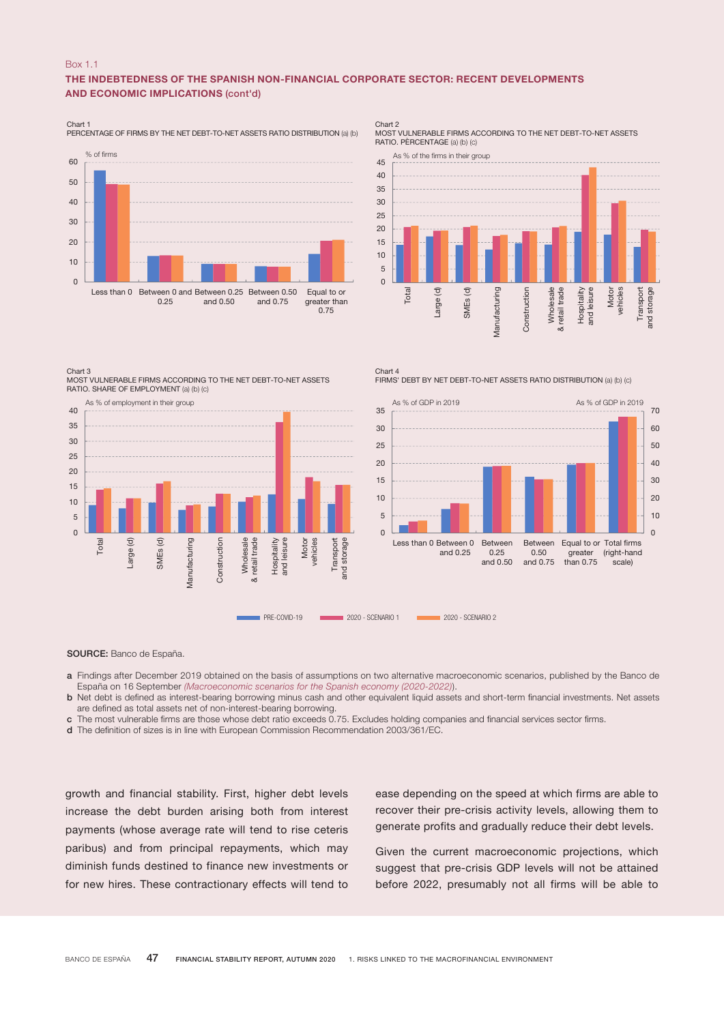#### Box 1.1

## THE INDEBTEDNESS OF THE SPANISH NON-FINANCIAL CORPORATE SECTOR: RECENT DEVELOPMENTS AND ECONOMIC IMPLICATIONS (cont'd)

Chart 1 PERCENTAGE OF FIRMS BY THE NET DEBT-TO-NET ASSETS RATIO DISTRIBUTION (a) (b)



Chart 2 MOST VULNERABLE FIRMS ACCORDING TO THE NET DEBT-TO-NET ASSETS RATIO. PÈRCENTAGE (a) (b) (c)



Chart 3

MOST VULNERABLE FIRMS ACCORDING TO THE NET DEBT-TO-NET ASSETS RATIO. SHARE OF EMPLOYMENT (a) (b) (c)



Chart 4 FIRMS' DEBT BY NET DEBT-TO-NET ASSETS RATIO DISTRIBUTION (a) (b) (c)



SOURCE: Banco de España.

a Findings after December 2019 obtained on the basis of assumptions on two alternative macroeconomic scenarios, published by the Banco de España on 16 September *[\(Macroeconomic scenarios for the Spanish economy \(2020-2022\)](https://www.bde.es/f/webbde/SES/Secciones/Publicaciones/InformesBoletinesRevistas/BoletinEconomico/20/T3/descargar/Files/be2003-ite-Box1.pdf)*).

b Net debt is defined as interest-bearing borrowing minus cash and other equivalent liquid assets and short-term financial investments. Net assets are defined as total assets net of non-interest-bearing borrowing.

c The most vulnerable firms are those whose debt ratio exceeds 0.75. Excludes holding companies and financial services sector firms.

d The definition of sizes is in line with European Commission Recommendation 2003/361/EC.

growth and financial stability. First, higher debt levels increase the debt burden arising both from interest payments (whose average rate will tend to rise ceteris paribus) and from principal repayments, which may diminish funds destined to finance new investments or for new hires. These contractionary effects will tend to ease depending on the speed at which firms are able to recover their pre-crisis activity levels, allowing them to generate profits and gradually reduce their debt levels.

Given the current macroeconomic projections, which suggest that pre-crisis GDP levels will not be attained before 2022, presumably not all firms will be able to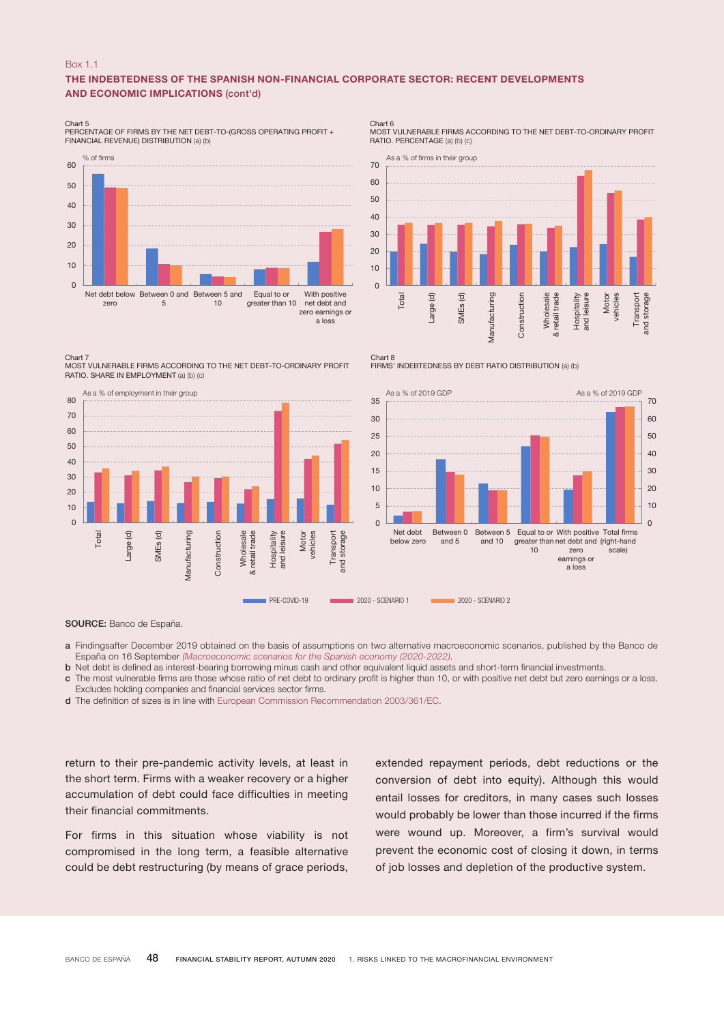#### Box 1.1

## THE INDEBTEDNESS OF THE SPANISH NON-FINANCIAL CORPORATE SECTOR: RECENT DEVELOPMENTS AND ECONOMIC IMPLICATIONS (cont'd)

Chart 5 PERCENTAGE OF FIRMS BY THE NET DEBT-TO-(GROSS OPERATING PROFIT + FINANCIAL REVENUE) DISTRIBUTION (a) (b)



Chart 7

MOST VULNERABLE FIRMS ACCORDING TO THE NET DEBT-TO-ORDINARY PROFIT RATIO. SHARE IN EMPLOYMENT (a) (b) (c)



Chart 6 MOST VULNERABLE FIRMS ACCORDING TO THE NET DEBT-TO-ORDINARY PROFIT RATIO. PERCENTAGE (a) (b) (c)



FIRMS' INDEBTEDNESS BY DEBT RATIO DISTRIBUTION (a) (b)



SOURCE: Banco de España.

a Findingsafter December 2019 obtained on the basis of assumptions on two alternative macroeconomic scenarios, published by the Banco de España on 16 September *[\(Macroeconomic scenarios for the Spanish economy \(2020-2022\).](https://www.bde.es/f/webbde/SES/Secciones/Publicaciones/InformesBoletinesRevistas/BoletinEconomico/20/T3/descargar/Files/be2003-ite-Box1.pdf)*

 $Chart$ 

- b Net debt is defined as interest-bearing borrowing minus cash and other equivalent liquid assets and short-term financial investments.
- c The most vulnerable firms are those whose ratio of net debt to ordinary profit is higher than 10, or with positive net debt but zero earnings or a loss. Excludes holding companies and financial services sector firms.
- d The definition of sizes is in line with [European Commission Recommendation 2003/361/EC.](https://eur-lex.europa.eu/LexUriServ/LexUriServ.do?uri=OJ:L:2003:124:0036:0041:en:PDF)

return to their pre-pandemic activity levels, at least in the short term. Firms with a weaker recovery or a higher accumulation of debt could face difficulties in meeting their financial commitments.

For firms in this situation whose viability is not compromised in the long term, a feasible alternative could be debt restructuring (by means of grace periods,

extended repayment periods, debt reductions or the conversion of debt into equity). Although this would entail losses for creditors, in many cases such losses would probably be lower than those incurred if the firms were wound up. Moreover, a firm's survival would prevent the economic cost of closing it down, in terms of job losses and depletion of the productive system.